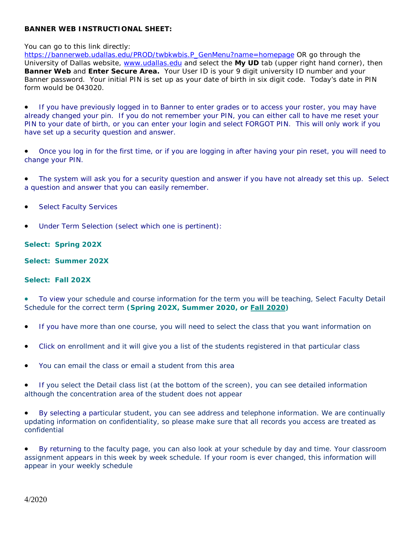## **BANNER WEB INSTRUCTIONAL SHEET:**

You can go to this link directly:

[https://bannerweb.udallas.edu/PROD/twbkwbis.P\\_GenMenu?name=homepage](https://bannerweb.udallas.edu/PROD/twbkwbis.P_GenMenu?name=homepage) OR go through the University of Dallas website, [www.udallas.edu](http://www.udallas.edu/) and select the **My UD** tab (upper right hand corner), then **Banner Web** and **Enter Secure Area.** Your User ID is your 9 digit university ID number and your Banner password. Your initial PIN is set up as your date of birth in six digit code. Today's date in PIN form would be 043020.

• If you have previously logged in to Banner to enter grades or to access your roster, you may have already changed your pin. If you do not remember your PIN, you can either call to have me reset your PIN to your date of birth, or you can enter your login and select FORGOT PIN. This will only work if you have set up a security question and answer.

• Once you log in for the first time, or if you are logging in after having your pin reset, you will need to change your PIN.

• The system will ask you for a security question and answer if you have not already set this up. Select a question and answer that you can easily remember.

- Select Faculty Services
- Under Term Selection (select which one is pertinent):

## **Select: Spring 202X**

**Select: Summer 202X** 

## **Select: Fall 202X**

• To view your schedule and course information for the term you will be teaching, Select Faculty Detail Schedule for the correct term **(Spring 202X, Summer 2020, or Fall 2020)**

- If you have more than one course, you will need to select the class that you want information on
- Click on enrollment and it will give you a list of the students registered in that particular class
- You can email the class or email a student from this area

• If you select the Detail class list (at the bottom of the screen), you can see detailed information although the concentration area of the student does not appear

• By selecting a particular student, you can see address and telephone information. We are continually updating information on confidentiality, so please make sure that all records you access are treated as confidential

• By returning to the faculty page, you can also look at your schedule by day and time. Your classroom assignment appears in this week by week schedule. If your room is ever changed, this information will appear in your weekly schedule